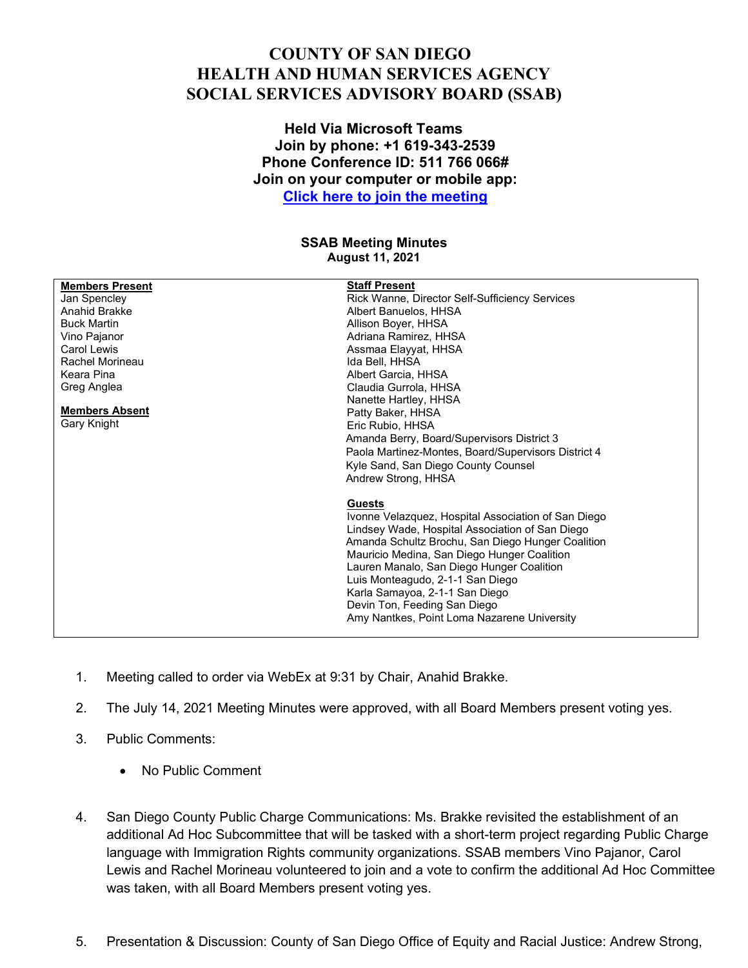## **COUNTY OF SAN DIEGO HEALTH AND HUMAN SERVICES AGENCY SOCIAL SERVICES ADVISORY BOARD (SSAB)**

## **Held Via Microsoft Teams Join by phone: +1 619-343-2539 Phone Conference ID: 511 766 066# Join on your computer or mobile app: [Click here to join the meeting](https://teams.microsoft.com/l/meetup-join/19%3ameeting_ZWIyMmM5YzQtOGI2Mi00NmI0LTgyODMtOTJmNzJiMjVhMjBm%40thread.v2/0?context=%7b%22Tid%22%3a%224563af13-c029-41b3-b74c-965e8eec8f96%22%2c%22Oid%22%3a%2239a7bf66-6a88-4ff0-a899-61ea07a9b67c%22%7d)**

## **SSAB Meeting Minutes August 11, 2021**

| <b>Members Present</b> | <b>Staff Present</b>                                |
|------------------------|-----------------------------------------------------|
| Jan Spencley           | Rick Wanne, Director Self-Sufficiency Services      |
| Anahid Brakke          | Albert Banuelos, HHSA                               |
| <b>Buck Martin</b>     | Allison Boyer, HHSA                                 |
| Vino Pajanor           | Adriana Ramirez, HHSA                               |
| Carol Lewis            | Assmaa Elayyat, HHSA                                |
| Rachel Morineau        | Ida Bell, HHSA                                      |
| Keara Pina             | Albert Garcia, HHSA                                 |
| Greg Anglea            | Claudia Gurrola, HHSA                               |
|                        | Nanette Hartley, HHSA                               |
| <b>Members Absent</b>  | Patty Baker, HHSA                                   |
| Gary Knight            | Eric Rubio, HHSA                                    |
|                        | Amanda Berry, Board/Supervisors District 3          |
|                        | Paola Martinez-Montes, Board/Supervisors District 4 |
|                        | Kyle Sand, San Diego County Counsel                 |
|                        | Andrew Strong, HHSA                                 |
|                        | <b>Guests</b>                                       |
|                        | Ivonne Velazquez, Hospital Association of San Diego |
|                        | Lindsey Wade, Hospital Association of San Diego     |
|                        | Amanda Schultz Brochu, San Diego Hunger Coalition   |
|                        | Mauricio Medina, San Diego Hunger Coalition         |
|                        | Lauren Manalo, San Diego Hunger Coalition           |
|                        | Luis Monteagudo, 2-1-1 San Diego                    |
|                        | Karla Samayoa, 2-1-1 San Diego                      |
|                        | Devin Ton, Feeding San Diego                        |
|                        | Amy Nantkes, Point Loma Nazarene University         |
|                        |                                                     |

- 1. Meeting called to order via WebEx at 9:31 by Chair, Anahid Brakke.
- 2. The July 14, 2021 Meeting Minutes were approved, with all Board Members present voting yes.
- 3. Public Comments:
	- No Public Comment
- 4. San Diego County Public Charge Communications: Ms. Brakke revisited the establishment of an additional Ad Hoc Subcommittee that will be tasked with a short-term project regarding Public Charge language with Immigration Rights community organizations. SSAB members Vino Pajanor, Carol Lewis and Rachel Morineau volunteered to join and a vote to confirm the additional Ad Hoc Committee was taken, with all Board Members present voting yes.
- 5. Presentation & Discussion: County of San Diego Office of Equity and Racial Justice: Andrew Strong,